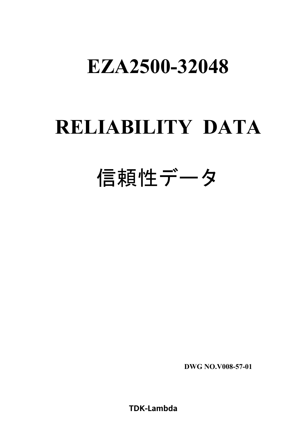## **RELIABILITY DATA**

# 信頼性データ

**DWG NO.V008-57-01**

**TDK-Lambda**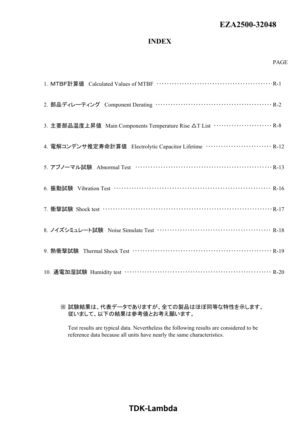#### **INDEX**

| 2. 部品ディレーティング Component Derating …………………………………………… R-2                                     |
|--------------------------------------------------------------------------------------------|
| 3. 主要部品温度上昇值 Main Components Temperature Rise $\Delta T$ List ························ R-8 |
| 4. 電解コンデンサ推定寿命計算値 Electrolytic Capacitor Lifetime ······························ R-12      |
|                                                                                            |
| 6. 振動試験 Vibration Test ………………………………………………………… R-16                                         |
| 7. 衝撃試験 Shock test …………………………………………………………………… R-17                                         |
|                                                                                            |
|                                                                                            |
|                                                                                            |

#### ※ 試験結果は、代表データでありますが、全ての製品はほぼ同等な特性を示します。 従いまして、以下の結果は参考値とお考え願います。

Test results are typical data. Nevertheless the following results are considered to be reference data because all units have nearly the same characteristics.

## **TDK-Lambda**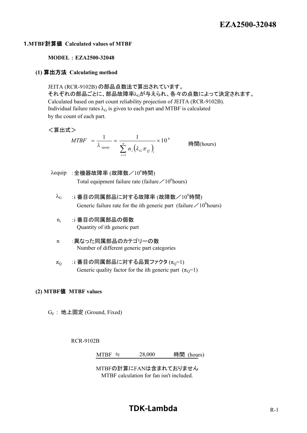#### 1**.MTBF**計算値 **Calculated values of MTBF**

#### **MODEL** : **EZA2500-32048**

#### **(1)** 算出方法 **Calculating method**

JEITA (RCR-9102B) の部品点数法で算出されています。 それぞれの部品ごとに、部品故障率 $\lambda_G$ が与えられ、各々の点数によって決定されます。 Calculated based on part count reliability projection of JEITA (RCR-9102B). Individual failure rates  $\lambda_G$  is given to each part and MTBF is calculated by the count of each part.

#### <算出式>

$$
MTBF = \frac{1}{\lambda_{\text{equiv}}} = \frac{1}{\sum_{i=1}^{n} n_i (\lambda_G \pi_Q)_i} \times 10^6
$$
  $\qquad \text{iff} \quad \text{[H]} \quad \text{(hours)}$ 

- $\lambda$ equip : 全機器故障率 (故障数/10<sup>6</sup>時間) Total equipment failure rate (failure  $\angle 10^6$ hours)
	- $\lambda_G$  :i 番目の同属部品に対する故障率 (故障数/ $10^6$ 時間) Generic failure rate for the ith generic part (failure  $\angle 10^6$ hours)
	- n<sub>i</sub> :i 番目の同属部品の個数 Quantity of ith generic part
	- n :異なった同属部品のカテゴリーの数 Number of different generic part categories
	- $\pi_{\Omega}$  :i 番目の同属部品に対する品質ファクタ ( $\pi_{\Omega}$ =1) Generic quality factor for the ith generic part  $(\pi_0=1)$

#### **(2) MTBF**値 **MTBF values**

 $G_F$ : 地上固定 (Ground, Fixed)

RCR-9102B

MTBF  $\approx$  28,000 時間 (hours)

MTBFの計算にFANは含まれておりません MTBF calculation for fan isn't included.

## **TDK-Lambda** R-1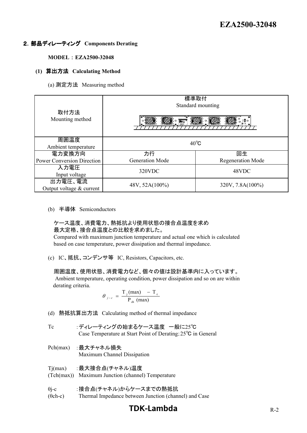#### 2.部品ディレーティング **Components Derating**

**MODEL** : **EZA2500-32048**

#### **(1)** 算出方法 **Calculating Method**

(a) 測定方法 Measuring method

|                                     | 標準取付<br>Standard mounting |                                   |
|-------------------------------------|---------------------------|-----------------------------------|
| 取付方法<br>Mounting method             | <b>1999 P.E.</b>          | 1000 1000<br><b>ಿ ಕೆ</b> !ಿ<br>_ಾ |
| 周囲温度                                | $40^{\circ}$ C            |                                   |
| Ambient temperature                 |                           |                                   |
| 電力変換方向                              | 力行                        | 回生                                |
| <b>Power Conversion Direction</b>   | <b>Generation Mode</b>    | <b>Regeneration Mode</b>          |
| 入力電圧<br>Input voltage               | 320VDC                    | 48VDC                             |
| 出力電圧、電流<br>Output voltage & current | 48V, 52A(100%)            | 320V, 7.8A(100%)                  |

(b) 半導体 Semiconductors

#### ケース温度、消費電力、熱抵抗より使用状態の接合点温度を求め 最大定格、接合点温度との比較を求めました。

 Compared with maximum junction temperature and actual one which is calculated based on case temperature, power dissipation and thermal impedance.

(c) IC、抵抗、コンデンサ等 IC, Resistors, Capacitors, etc.

#### 周囲温度、使用状態、消費電力など、個々の値は設計基準内に入っています。

 Ambient temperature, operating condition, power dissipation and so on are within derating criteria.

$$
\theta_{j-c} = \frac{T_j(max) - T_c}{P_{ch} (max)}
$$

- (d) 熱抵抗算出方法 Calculating method of thermal impedance
- Tc :ディレーティングの始まるケース温度 一般に25℃ Case Temperature at Start Point of Derating;25℃ in General
- Pch(max) :最大チャネル損失 Maximum Channel Dissipation

| Tj(max) :最大接合点(チャネル)温度                            |
|---------------------------------------------------|
| (Tch(max)) Maximum Junction (channel) Temperature |
|                                                   |

- θj-c :接合点(チャネル)からケースまでの熱抵抗
- (θch-c) Thermal Impedance between Junction (channel) and Case

## **TDK-Lambda** R-2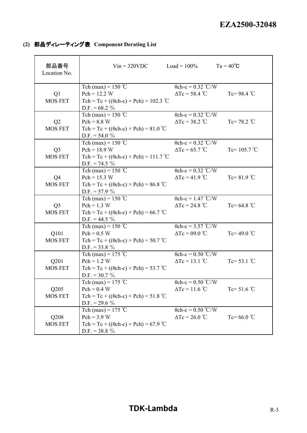|  |  | (2) 部品ディレーティング表 Component Derating List |
|--|--|-----------------------------------------|
|--|--|-----------------------------------------|

| 部品番号<br>Location No.             | $Vin = 320VDC$                                                                                                      | $Load = 100\%$                                                          | $Ta = 40^{\circ}C$    |
|----------------------------------|---------------------------------------------------------------------------------------------------------------------|-------------------------------------------------------------------------|-----------------------|
| Q1<br><b>MOS FET</b>             | Tch (max) = $150^{\circ}$ C<br>$Pch = 12.2 W$<br>Tch = Tc + (( $\theta$ ch-c) × Pch) = 102.3 °C<br>D.F. = $68.2\%$  | $\theta$ ch-c = 0.32 °C/W<br>$\Delta Tc = 58.4$ °C                      | Tc=98.4 $°C$          |
| Q2<br><b>MOS FET</b>             | Tch (max) = $150^{\circ}$ C<br>$Pch = 8.8 W$<br>Tch = Tc + (( $\theta$ ch-c) × Pch) = 81.0 °C<br>$D.F. = 54.0 \%$   | $\theta$ ch-c = 0.32 °C/W<br>$\Delta Tc = 38.2$ °C                      | Tc=78.2 $\degree$ C   |
| Q <sub>3</sub><br><b>MOS FET</b> | Tch (max) = $150^{\circ}$ C<br>$Pch = 18.9 W$<br>Tch = Tc + (( $\theta$ ch-c) × Pch) = 111.7 °C<br>$D.F. = 74.5 \%$ | $\theta$ ch-c = 0.32 °C/W<br>$\Delta Tc = 65.7$ °C                      | Tc= $105.7^{\circ}$ C |
| Q <sub>4</sub><br><b>MOS FET</b> | Tch (max) = $150^{\circ}$ C<br>$Pch = 15.3 W$<br>Tch = Tc + (( $\theta$ ch-c) × Pch) = 86.8 °C<br>$D.F. = 57.9 \%$  | $\overline{0 \text{ch-c}} = 0.32 \text{ °C/W}$<br>$\Delta Tc = 41.9$ °C | Tc= $81.9$ °C         |
| Q <sub>5</sub><br><b>MOS FET</b> | Tch (max) = $150^{\circ}$ C<br>$Pch = 1.3 W$<br>Tch = Tc + (( $\theta$ ch-c) × Pch) = 66.7 °C<br>$D.F. = 44.5 \%$   | $\theta$ ch-c = 1.47 °C/W<br>$\Delta Tc = 24.8 °C$                      | Tc= 64.8 $^{\circ}$ C |
| Q101<br><b>MOS FET</b>           | Tch (max) = $150^{\circ}$ C<br>$Pch = 0.5 W$<br>Tch = Tc + (( $\theta$ ch-c) × Pch) = 50.7 °C<br>D.F. = 33.8 $\%$   | $\theta$ ch-c = 3.57 °C/W<br>$\Delta Tc = 09.0$ °C                      | Tc=49.0 $^{\circ}$ C  |
| Q201<br><b>MOS FET</b>           | Tch (max) = $175$ °C<br>$Pch = 1.2 W$<br>Tch = Tc + (( $\theta$ ch-c) × Pch) = 53.7 °C<br>$D.F. = 30.7 \%$          | $\theta$ ch-c = 0.50 °C/W<br>$\Delta Tc = 13.1$ °C                      | Tc= $53.1$ °C         |
| Q205<br><b>MOS FET</b>           | Tch (max) = $175$ °C<br>$Pch = 0.4 W$<br>Tch = Tc + (( $\theta$ ch-c) × Pch) = 51.8 °C<br>D.F. = 29.6 $\%$          | $\theta$ ch-c = 0.50 °C/W<br>$\Delta Tc = 11.6$ °C                      | Tc= 51.6 $^{\circ}$ C |
| Q208<br>MOS FET                  | Tch (max) = $175^{\circ}$ C<br>$Pch = 3.9 W$<br>Tch = Tc + (( $\theta$ ch-c) × Pch) = 67.9 °C<br>D.F. = $38.8\%$    | $\overline{0}$ ch-c = 0.50 °C/W<br>$\Delta Tc = 26.0$ °C                | Tc= 66.0 $\degree$ C  |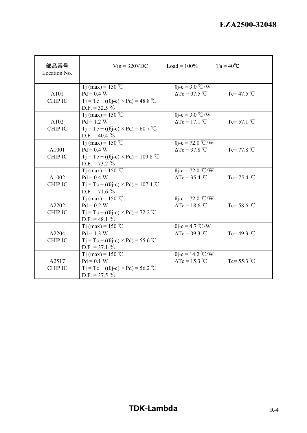| 部品番号<br>Location No.    | $V$ in = 320VDC                                                                                                        | $Load = 100\%$                                    | $Ta = 40^{\circ}C$    |
|-------------------------|------------------------------------------------------------------------------------------------------------------------|---------------------------------------------------|-----------------------|
| A101<br><b>CHIP IC</b>  | T <sub>j</sub> (max) = 150 °C<br>$Pd = 0.4 W$<br>$Tj = Tc + ((\theta j - c) \times Pd) = 48.8$ °C<br>$D.F. = 32.5 \%$  | $\theta$ j-c = 3.0 °C/W<br>$\Delta Tc = 07.5$ °C  | Tc= 47.5 $^{\circ}$ C |
| A102<br><b>CHIP IC</b>  | T <sub>j</sub> (max) = 150 °C<br>$Pd = 1.2 W$<br>$Tj = Tc + ((\theta j - c) \times Pd) = 60.7$ °C<br>D.F. = 40.4 $\%$  | $\theta$ j-c = 3.0 °C/W<br>$\Delta Tc = 17.1$ °C  | Tc= $57.1^{\circ}$ C  |
| A1001<br><b>CHIP IC</b> | T <sub>j</sub> (max) = 150 °C<br>$Pd = 0.4 W$<br>$Tj = Tc + ((\theta j - c) \times Pd) = 109.8$ °C<br>$D.F. = 73.2 \%$ | $\theta$ j-c = 72.0 °C/W<br>$\Delta Tc = 37.8 °C$ | Tc= 77.8 $^{\circ}$ C |
| A1002<br><b>CHIP IC</b> | Tj (max) = $150^{\circ}$ C<br>$Pd = 0.4 W$<br>$Tj = Tc + ((\theta j - c) \times Pd) = 107.4$ °C<br>$D.F. = 71.6 \%$    | $\theta$ j-c = 72.0 °C/W<br>$\Delta Tc = 35.4$ °C | Tc= $75.4$ °C         |
| A2202<br><b>CHIP IC</b> | Tj (max) = $150^{\circ}$ C<br>$Pd = 0.2 W$<br>$Tj = Tc + ((\theta j - c) \times Pd) = 72.2$ °C<br>D.F. = 48.1 $\%$     | $\theta$ j-c = 72.0 °C/W<br>$\Delta Tc = 18.6$ °C | Tc= 58.6 $^{\circ}$ C |
| A2204<br><b>CHIP IC</b> | T <sub>j</sub> (max) = 150 °C<br>$Pd = 1.3 W$<br>$Tj = Tc + ((\theta j - c) \times Pd) = 55.6$ °C<br>$D.F. = 37.1 \%$  | $\theta$ j-c = 4.7 °C/W<br>$\Delta Tc = 09.3$ °C  | Tc=49.3 $^{\circ}$ C  |
| A2517<br><b>CHIP IC</b> | T <sub>j</sub> (max) = 150 °C<br>$Pd = 0.1 W$<br>$Tj = Tc + ((\theta j - c) \times Pd) = 56.2$ °C<br>$D.F. = 37.5 \%$  | $\theta$ j-c = 14.2 °C/W<br>$\Delta Tc = 15.3$ °C | Tc= $55.3$ °C         |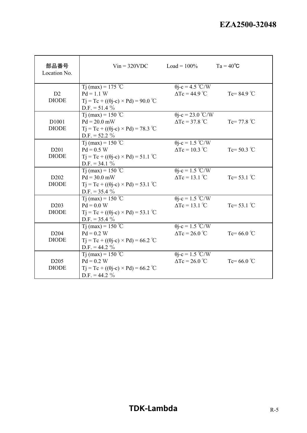| 部品番号<br>Location No.             | $Vin = 320VDC$                                                                                                           | $Load = 100\%$                                    | $Ta = 40^{\circ}C$    |
|----------------------------------|--------------------------------------------------------------------------------------------------------------------------|---------------------------------------------------|-----------------------|
| D2<br><b>DIODE</b>               | T <sub>j</sub> (max) = 175 °C<br>$Pd = 1.1 W$<br>$T_i = T_c + ((\theta i - c) \times P_d) = 90.0$ °C<br>$D.F. = 51.4 \%$ | $\theta$ j-c = 4.5 °C/W<br>$\Delta Tc = 44.9$ °C  | Tc= $84.9^{\circ}$ C  |
| D1001<br><b>DIODE</b>            | Tj (max) = $150^{\circ}$ C<br>$Pd = 20.0$ mW<br>$T_i = T_c + ((\theta_i-c) \times P_d) = 78.3$ °C<br>$D.F. = 52.2 \%$    | $\theta$ j-c = 23.0 °C/W<br>$\Delta Tc = 37.8 °C$ | Tc= 77.8 $^{\circ}$ C |
| D <sub>201</sub><br><b>DIODE</b> | T <sub>j</sub> (max) = 150 °C<br>$Pd = 0.5 W$<br>$Tj = Tc + ((\theta j - c) \times Pd) = 51.1 °C$<br>$D.F. = 34.1 \%$    | $\theta$ j-c = 1.5 °C/W<br>$\Delta Tc = 10.3$ °C  | Tc= $50.3$ °C         |
| D <sub>202</sub><br><b>DIODE</b> | T <sub>j</sub> (max) = 150 °C<br>$Pd = 30.0$ mW<br>$Tj = Tc + ((\theta j - c) \times Pd) = 53.1$ °C<br>D.F. = $35.4\%$   | $\theta$ j-c = 1.5 °C/W<br>$\Delta Tc = 13.1$ °C  | Tc= 53.1 $^{\circ}$ C |
| D <sub>203</sub><br><b>DIODE</b> | T <sub>j</sub> (max) = 150 °C<br>$Pd = 0.0 W$<br>$Tj = Tc + ((\theta j - c) \times Pd) = 53.1$ °C<br>D.F. = $35.4\%$     | $\theta$ j-c = 1.5 °C/W<br>$\Delta Tc = 13.1$ °C  | Tc= 53.1 $^{\circ}$ C |
| D <sub>204</sub><br><b>DIODE</b> | T <sub>j</sub> (max) = 150 °C<br>$Pd = 0.2 W$<br>$Tj = Tc + ((\theta j - c) \times Pd) = 66.2$ °C<br>D.F. = 44.2 $\%$    | $\theta$ j-c = 1.5 °C/W<br>$\Delta Tc = 26.0$ °C  | Tc= 66.0 $^{\circ}$ C |
| D <sub>205</sub><br><b>DIODE</b> | T <sub>j</sub> (max) = 150 °C<br>$Pd = 0.2 W$<br>$Tj = Tc + ((\theta j - c) \times Pd) = 66.2$ °C<br>D.F. = 44.2 $\%$    | $\theta$ j-c = 1.5 °C/W<br>$\Delta Tc = 26.0$ °C  | Tc= 66.0 $^{\circ}$ C |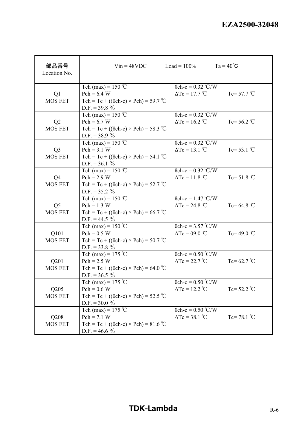| 部品番号<br>Location No. | $V$ in = 48VDC $\qquad \qquad$ Load = 100% $\qquad \qquad$ Ta = 40°C |                                                     |                       |
|----------------------|----------------------------------------------------------------------|-----------------------------------------------------|-----------------------|
|                      | Tch (max) = $150^{\circ}$ C                                          | $\theta$ ch-c = 0.32 °C/W                           |                       |
| Q1                   | $Pch = 6.4 W$                                                        | $\Delta Tc = 17.7 \text{ °C}$ Tc= 57.7 $\text{ °C}$ |                       |
| <b>MOS FET</b>       | Tch = Tc + (( $\theta$ ch-c) × Pch) = 59.7 °C                        |                                                     |                       |
|                      | D.F. = 39.8 $\%$                                                     |                                                     |                       |
|                      | Tch (max) = $150^{\circ}$ C                                          | $\theta$ ch-c = 0.32 °C/W                           |                       |
| Q2                   | $Pch = 6.7 W$                                                        | $\Delta Tc = 16.2$ °C                               | Tc= $56.2$ °C         |
| <b>MOS FET</b>       | Tch = Tc + (( $\theta$ ch-c) × Pch) = 58.3 °C                        |                                                     |                       |
|                      | D.F. = $38.9\%$                                                      | $\theta$ ch-c = 0.32 °C/W                           |                       |
| Q <sub>3</sub>       | Tch (max) = $150^{\circ}$ C<br>$Pch = 3.1 W$                         | $\Delta Tc = 13.1$ °C                               | Tc= $53.1$ °C         |
| <b>MOS FET</b>       | Tch = Tc + (( $\theta$ ch-c) × Pch) = 54.1 °C                        |                                                     |                       |
|                      | $D.F. = 36.1 \%$                                                     |                                                     |                       |
|                      | Tch (max) = $150^{\circ}$ C                                          | $\theta$ ch-c = 0.32 °C/W                           |                       |
| Q <sub>4</sub>       | $Pch = 2.9 W$                                                        | $\Delta Tc = 11.8$ °C                               | Tc= $51.8$ °C         |
| <b>MOS FET</b>       | Tch = Tc + (( $\theta$ ch-c) × Pch) = 52.7 °C                        |                                                     |                       |
|                      | D.F. = $35.2\%$                                                      |                                                     |                       |
|                      | Tch (max) = $150^{\circ}$ C                                          | $\theta$ ch-c = 1.47 °C/W                           |                       |
| Q <sub>5</sub>       | $Pch = 1.3 W$                                                        | $\Delta Tc = 24.8 °C$                               | $Tc = 64.8 °C$        |
| <b>MOS FET</b>       | Tch = Tc + (( $\theta$ ch-c) × Pch) = 66.7 °C                        |                                                     |                       |
|                      | $D.F. = 44.5 \%$                                                     |                                                     |                       |
|                      | Tch (max) = $150^{\circ}$ C                                          | $\theta$ ch-c = 3.57 °C/W                           |                       |
| Q101                 | $Pch = 0.5 W$                                                        | $\Delta Tc = 09.0$ °C                               | Tc=49.0 $^{\circ}$ C  |
| <b>MOS FET</b>       | Tch = Tc + (( $\theta$ ch-c) × Pch) = 50.7 °C                        |                                                     |                       |
|                      | D.F. = 33.8 $%$                                                      |                                                     |                       |
|                      | Tch (max) = $175^{\circ}$ C                                          | $\theta$ ch-c = 0.50 °C/W                           |                       |
| Q201                 | $Pch = 2.5 W$                                                        | $\Delta Tc = 22.7^{\circ}C$                         | Tc= $62.7^{\circ}$ C  |
| <b>MOS FET</b>       | Tch = Tc + (( $\theta$ ch-c) × Pch) = 64.0 °C                        |                                                     |                       |
|                      | D.F. = $36.5\%$                                                      |                                                     |                       |
|                      | Tch (max) = $175$ °C                                                 | $\theta$ ch-c = 0.50 °C/W                           |                       |
| Q205                 | $Pch = 0.6 W$                                                        | $\Delta Tc = 12.2$ °C                               | Tc= $52.2$ °C         |
| MOS FET              | Tch = Tc + (( $\theta$ ch-c) × Pch) = 52.5 °C                        |                                                     |                       |
|                      | D.F. = $30.0\%$                                                      |                                                     |                       |
|                      | Tch (max) = $175$ °C                                                 | $\theta$ ch-c = 0.50 °C/W                           |                       |
| Q208                 | $Pch = 7.1 W$                                                        | $\Delta Tc = 38.1$ °C                               | Tc= 78.1 $^{\circ}$ C |
| <b>MOS FET</b>       | Tch = Tc + (( $\theta$ ch-c) × Pch) = 81.6 °C<br>D.F. = 46.6 $\%$    |                                                     |                       |
|                      |                                                                      |                                                     |                       |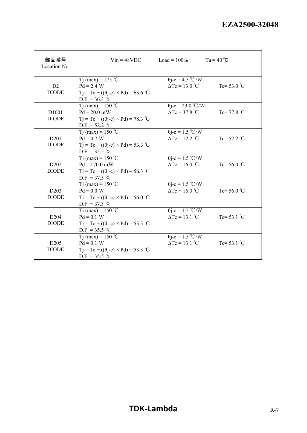| 部品番号<br>Location No.                          |                                                                                                                          | $Vin = 48VDC$ $Load = 100\%$                      | $Ta = 40^{\circ}C$    |
|-----------------------------------------------|--------------------------------------------------------------------------------------------------------------------------|---------------------------------------------------|-----------------------|
| D2<br><b>DIODE</b>                            | T <sub>j</sub> (max) = 175 °C<br>$Pd = 2.4 W$<br>$Tj = Tc + ((\theta j - c) \times Pd) = 63.6$ °C<br>D.F. = $36.3\%$     | $\theta$ j-c = 4.5 °C/W<br>$\Delta Tc = 13.0$ °C  | Tc= 53.0 $^{\circ}$ C |
| D1001<br><b>DIODE</b>                         | T <sub>j</sub> (max) = 150 °C<br>$Pd = 20.0$ mW<br>$Tj = Tc + ((\theta j - c) \times Pd) = 78.3$ °C<br>$D.F. = 52.2 \%$  | $\theta$ j-c = 23.0 °C/W<br>$\Delta Tc = 37.8$ °C | Tc= 77.8 $^{\circ}$ C |
| D <sub>201</sub><br><b>DIODE</b>              | T <sub>j</sub> (max) = 150 °C<br>$Pd = 0.7 W$<br>$Tj = Tc + ((\theta j - c) \times Pd) = 53.3$ °C<br>D.F. = $35.5\%$     | $\theta$ j-c = 1.5 °C/W<br>$\Delta Tc = 12.2$ °C  | Tc= $52.2$ °C         |
| D <sub>2</sub> 0 <sub>2</sub><br><b>DIODE</b> | T <sub>j</sub> (max) = 150 °C<br>$Pd = 170.0$ mW<br>$Tj = Tc + ((\theta j - c) \times Pd) = 56.3$ °C<br>$D.F. = 37.5 \%$ | $\theta$ j-c = 1.5 °C/W<br>$\Delta Tc = 16.0$ °C  | Tc= 56.0 $^{\circ}$ C |
| D <sub>20</sub> 3<br><b>DIODE</b>             | T <sub>j</sub> (max) = 150 °C<br>$Pd = 0.0 W$<br>$Tj = Tc + ((\theta j - c) \times Pd) = 56.0$ °C<br>D.F. = 37.3 $%$     | $\theta$ j-c = 1.5 °C/W<br>$\Delta Tc = 16.0$ °C  | Tc= 56.0 $^{\circ}$ C |
| D <sub>204</sub><br><b>DIODE</b>              | Tj (max) = 150 °C<br>$Pd = 0.1 W$<br>$Tj = Tc + ((\theta j - c) \times Pd) = 53.3$ °C<br>D.F. = $35.5\%$                 | $\theta$ j-c = 1.5 °C/W<br>$\Delta Tc = 13.1$ °C  | Tc= $53.1^{\circ}$ C  |
| D <sub>205</sub><br><b>DIODE</b>              | T <sub>j</sub> (max) = 150 °C<br>$Pd = 0.1 W$<br>$Tj = Tc + ((\theta j - c) \times Pd) = 53.3$ °C<br>D.F. = $35.5\%$     | $\theta$ j-c = 1.5 °C/W<br>$\Delta Tc = 13.1$ °C  | Tc= 53.1 $^{\circ}$ C |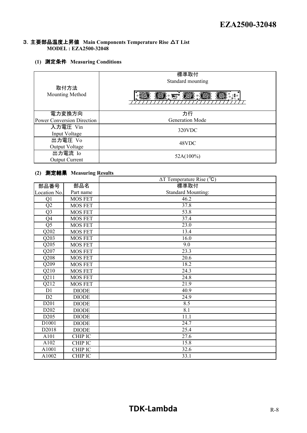#### 3.主要部品温度上昇値 **Main Components Temperature Rise** △**T List MODEL : EZA2500-32048**

#### **(1)** 測定条件 **Measuring Conditions**

| 取付方法<br><b>Mounting Method</b>              | 標準取付<br>Standard mounting<br><b>THE STAR</b><br>⊚ا⊪<br>1999 - Fi |
|---------------------------------------------|------------------------------------------------------------------|
| 電力変換方向<br><b>Power Conversion Direction</b> | 力行<br><b>Generation Mode</b>                                     |
| 入力電圧 Vin<br>Input Voltage                   | 320VDC                                                           |
| 出力電圧 Vo<br>Output Voltage                   | 48VDC                                                            |
| 出力電流 Io<br><b>Output Current</b>            | 52A(100%)                                                        |

#### **(2)** 測定結果 **Measuring Results**

|                               |                | $\Delta T$ Temperature Rise ( $^{\circ}$ C) |
|-------------------------------|----------------|---------------------------------------------|
| 部品番号                          | 部品名            | 標準取付                                        |
| Location No.                  | Part name      | <b>Standard Mounting:</b>                   |
| Q <sub>1</sub>                | <b>MOS FET</b> | 46.2                                        |
| Q2                            | <b>MOS FET</b> | 37.8                                        |
| Q <sub>3</sub>                | <b>MOS FET</b> | 53.8                                        |
| Q4                            | <b>MOS FET</b> | 37.4                                        |
| Q <sub>5</sub>                | <b>MOS FET</b> | 23.0                                        |
| Q202                          | MOS FET        | 13.4                                        |
| Q203                          | <b>MOS FET</b> | 16.0                                        |
| $Q2\overline{05}$             | <b>MOS FET</b> | 9.0                                         |
| Q207                          | <b>MOS FET</b> | 23.3                                        |
| Q208                          | <b>MOS FET</b> | 20.6                                        |
| Q209                          | <b>MOS FET</b> | 18.2                                        |
| Q210                          | <b>MOS FET</b> | 24.3                                        |
| Q211                          | <b>MOS FET</b> | 24.8                                        |
| $Q21\overline{2}$             | <b>MOS FET</b> | 21.9                                        |
| D1                            | <b>DIODE</b>   | 40.9                                        |
| D2                            | <b>DIODE</b>   | 24.9                                        |
| D201                          | <b>DIODE</b>   | 8.5                                         |
| D <sub>2</sub> 0 <sub>2</sub> | <b>DIODE</b>   | 8.1                                         |
| D <sub>205</sub>              | <b>DIODE</b>   | 11.1                                        |
| D1001                         | <b>DIODE</b>   | 24.7                                        |
| D2018                         | <b>DIODE</b>   | 25.4                                        |
| A101                          | <b>CHIP IC</b> | 27.6                                        |
| A102                          | CHIP IC        | 15.8                                        |
| A1001                         | <b>CHIP IC</b> | 32.6                                        |
| A1002                         | CHIP IC        | 33.1                                        |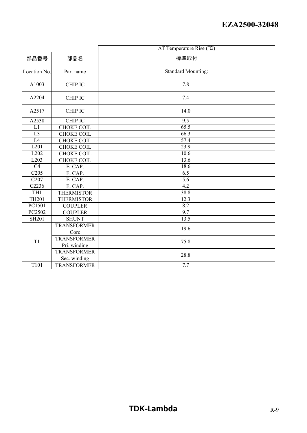|                  |                    | $\Delta T$ Temperature Rise ( $^{\circ}$ C) |
|------------------|--------------------|---------------------------------------------|
| 部品番号             | 部品名                | 標準取付                                        |
| Location No.     | Part name          | <b>Standard Mounting:</b>                   |
| A1003            | <b>CHIP IC</b>     | 7.8                                         |
| A2204            | <b>CHIP IC</b>     | 7.4                                         |
| A2517            | <b>CHIP IC</b>     | 14.0                                        |
| A2538            | CHIP IC            | 9.5                                         |
| L1               | <b>CHOKE COIL</b>  | 65.5                                        |
| L <sub>3</sub>   | <b>CHOKE COIL</b>  | 66.3                                        |
| L4               | <b>CHOKE COIL</b>  | 57.4                                        |
| L201             | <b>CHOKE COIL</b>  | 23.9                                        |
| L <sub>202</sub> | <b>CHOKE COIL</b>  | 10.6                                        |
| L <sub>203</sub> | <b>CHOKE COIL</b>  | 13.6                                        |
| $\overline{C4}$  | E. CAP.            | 18.6                                        |
| C205             | E. CAP.            | 6.5                                         |
| C207             | E. CAP.            | $\overline{5.6}$                            |
| C2236            | E. CAP.            | $\overline{4.2}$                            |
| TH <sub>1</sub>  | <b>THERMISTOR</b>  | 38.8                                        |
| <b>TH201</b>     | <b>THERMISTOR</b>  | 12.3                                        |
| PC1501           | <b>COUPLER</b>     | 8.2                                         |
| PC2502           | <b>COUPLER</b>     | $\overline{9.7}$                            |
| <b>SH201</b>     | <b>SHUNT</b>       | 13.5                                        |
|                  | <b>TRANSFORMER</b> | 19.6                                        |
|                  | Core               |                                             |
| T1               | <b>TRANSFORMER</b> | 75.8                                        |
|                  | Pri. winding       |                                             |
|                  | <b>TRANSFORMER</b> | 28.8                                        |
|                  | Sec. winding       |                                             |
| T101             | <b>TRANSFORMER</b> | 7.7                                         |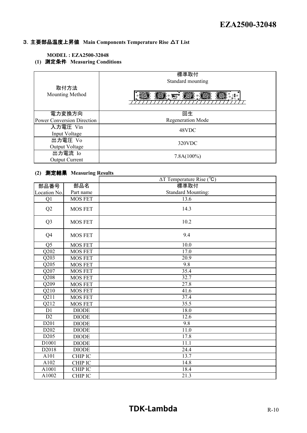#### 3.主要部品温度上昇値 **Main Components Temperature Rise** △**T List**

#### **MODEL : EZA2500-32048**

**(1)** 測定条件 **Measuring Conditions**

| 取付方法<br>Mounting Method           | 標準取付<br>Standard mounting<br><b>THE STAR</b><br>400<br>1888.ET<br>⊞ ⊚ |
|-----------------------------------|-----------------------------------------------------------------------|
| 電力変換方向                            | 回生                                                                    |
| <b>Power Conversion Direction</b> | <b>Regeneration Mode</b>                                              |
| 入力電圧 Vin                          | 48VDC                                                                 |
| Input Voltage                     |                                                                       |
| 出力電圧 Vo                           | 320VDC                                                                |
| Output Voltage                    |                                                                       |
| 出力電流 Io                           | $7.8A(100\%)$                                                         |
| <b>Output Current</b>             |                                                                       |

#### **(2)** 測定結果 **Measuring Results**

|                   |                | $\Delta T$ Temperature Rise ( $^{\circ}$ C) |
|-------------------|----------------|---------------------------------------------|
| 部品番号              | 部品名            | 標準取付                                        |
| Location No.      | Part name      | <b>Standard Mounting:</b>                   |
| Q <sub>1</sub>    | <b>MOS FET</b> | 13.6                                        |
| Q2                | <b>MOS FET</b> | 14.3                                        |
| Q <sub>3</sub>    | <b>MOS FET</b> | 10.2                                        |
| Q4                | <b>MOS FET</b> | 9.4                                         |
| Q <sub>5</sub>    | <b>MOS FET</b> | 10.0                                        |
| $\overline{Q202}$ | <b>MOS FET</b> | 17.0                                        |
| $\overline{Q203}$ | <b>MOS FET</b> | 20.9                                        |
| Q205              | <b>MOS FET</b> | 9.8                                         |
| Q207              | <b>MOS FET</b> | 35.4                                        |
| Q208              | <b>MOS FET</b> | 32.7                                        |
| Q209              | <b>MOS FET</b> | 27.8                                        |
| Q210              | <b>MOS FET</b> | 41.6                                        |
| $\overline{Q211}$ | <b>MOS FET</b> | 37.4                                        |
| Q212              | <b>MOS FET</b> | 35.5                                        |
| D1                | <b>DIODE</b>   | 18.0                                        |
| D2                | <b>DIODE</b>   | 12.6                                        |
| D201              | <b>DIODE</b>   | 9.8                                         |
| D <sub>202</sub>  | <b>DIODE</b>   | $\overline{11.0}$                           |
| D <sub>205</sub>  | <b>DIODE</b>   | 17.8                                        |
| D1001             | <b>DIODE</b>   | 11.1                                        |
| D2018             | <b>DIODE</b>   | 24.4                                        |
| A101              | <b>CHIP IC</b> | 13.7                                        |
| A102              | <b>CHIP IC</b> | 14.8                                        |
| A1001             | <b>CHIP IC</b> | 18.4                                        |
| A1002             | <b>CHIP IC</b> | 21.3                                        |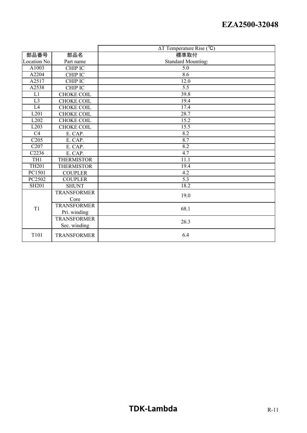|                     |                    | $\Delta T$ Temperature Rise ( $^{\circ}$ C) |
|---------------------|--------------------|---------------------------------------------|
| 部品番号                | 部品名                | 標準取付                                        |
| Location No.        | Part name          | <b>Standard Mounting:</b>                   |
| A $100\overline{3}$ | CHIP IC            | 5.0                                         |
| A2204               | <b>CHIP IC</b>     | 8.6                                         |
| A2517               | CHIP IC            | 12.0                                        |
| A2538               | <b>CHIP IC</b>     | 5.5                                         |
| L1                  | <b>CHOKE COIL</b>  | 39.8                                        |
| L <sub>3</sub>      | <b>CHOKE COIL</b>  | 19.4                                        |
| L4                  | CHOKE COIL         | 17.4                                        |
| L201                | <b>CHOKE COIL</b>  | 28.7                                        |
| L202                | <b>CHOKE COIL</b>  | 15.2                                        |
| L203                | <b>CHOKE COIL</b>  | 15.5                                        |
| $\overline{C4}$     | E. CAP.            | 8.2                                         |
| C205                | E. CAP.            | 8.7                                         |
| $\overline{C207}$   | E. CAP.            | 8.2                                         |
| C2236               | E. CAP.            | 4.7                                         |
| TH1                 | <b>THERMISTOR</b>  | 11.1                                        |
| <b>TH201</b>        | <b>THERMISTOR</b>  | 19.4                                        |
| PC1501              | <b>COUPLER</b>     | 4.2                                         |
| PC2502              | <b>COUPLER</b>     | $\overline{5.3}$                            |
| <b>SH201</b>        | <b>SHUNT</b>       | 18.2                                        |
|                     | <b>TRANSFORMER</b> | 19.0                                        |
|                     | Core               |                                             |
| T <sub>1</sub>      | <b>TRANSFORMER</b> | 68.1                                        |
|                     | Pri. winding       |                                             |
|                     | <b>TRANSFORMER</b> | 26.3                                        |
|                     | Sec. winding       |                                             |
| T101                | <b>TRANSFORMER</b> | 6.4                                         |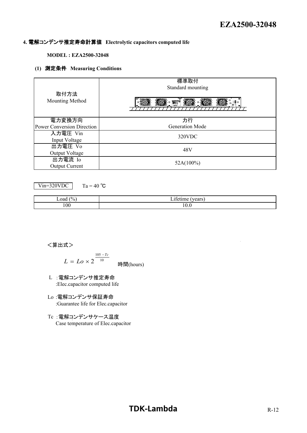#### **4.** 電解コンデンサ推定寿命計算値 **Electrolytic capacitors computed life**

#### **MODEL : EZA2500-32048**

#### **(1)** 測定条件 **Measuring Conditions**

| 取付方法<br>Mounting Method           | 標準取付<br>Standard mounting<br><b>THE STATE</b><br><b>MORE</b><br><b>SOOM</b><br>⋰◎▒° |
|-----------------------------------|-------------------------------------------------------------------------------------|
| 電力変換方向                            | 力行                                                                                  |
| <b>Power Conversion Direction</b> | <b>Generation Mode</b>                                                              |
| 入力電圧 Vin                          | 320VDC                                                                              |
| Input Voltage                     |                                                                                     |
| 出力電圧 Vo                           | 48V                                                                                 |
| Output Voltage                    |                                                                                     |
| 出力電流 Io                           |                                                                                     |
| <b>Output Current</b>             | $52A(100\%)$                                                                        |

Vin=320VDC

Ta = 40  $^{\circ}$ C

| (% )<br>Load | $\sim$<br>$\cdot$ $\sim$<br>$\mathbf{v}$ $\mathbf{v}$<br>$  -$<br>uu s<br>. |
|--------------|-----------------------------------------------------------------------------|
| 100          | $\sim$<br>10.0                                                              |

#### <算出式>

$$
L = Lo \times 2^{\frac{105 - Tc}{10}}
$$
  $\frac{10}{\text{H}}\text{m (hours)}$ 

- L :電解コンデンサ推定寿命 :Elec.capacitor computed life
- Lo :電解コンデンサ保証寿命 :Guarantee life for Elec.capacitor
- Tc :電解コンデンサケース温度 Case temperature of Elec.capacitor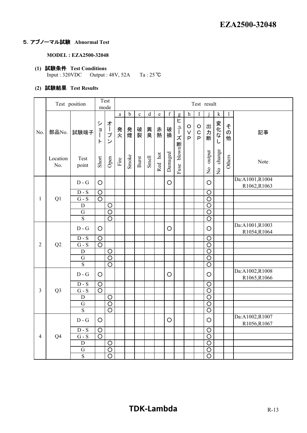#### 5.アブノーマル試験 **Abnormal Test**

**MODEL : EZA2500-32048**

- **(1)** 試験条件 **Test Conditions** Input : 320VDC Output : 48V, 52A Ta : 25℃
- **(2)** 試験結果 **Test Results**

|                |                 | Test position             |                                       | Test<br>mode          | Test result |             |             |             |         |             |                |                                   |                                        |                         |                                     |                                    |                                |
|----------------|-----------------|---------------------------|---------------------------------------|-----------------------|-------------|-------------|-------------|-------------|---------|-------------|----------------|-----------------------------------|----------------------------------------|-------------------------|-------------------------------------|------------------------------------|--------------------------------|
|                |                 |                           |                                       |                       | $\rm{a}$    | $\mathbf b$ | $\mathbf c$ | $\mathbf d$ | $\rm e$ | $\mathbf f$ | g              | $\,$ h                            | $\bf I$                                |                         | $\mathbf k$                         | $\mathbf{l}$                       |                                |
| No.            | 部品No.           | 試験端子                      | シ<br>$\frac{a}{\sqrt{2}}$<br>$\vdash$ | オープ<br>$\overline{v}$ | 発火          | 発煙          | 破裂          | 異臭          | 赤熱      | 破損          | Ł<br>ューズ断uxolq | $\circ$<br>$\vee$<br>$\mathsf{P}$ | $\circ$<br>$\mathbf C$<br>$\mathsf{P}$ | 出力断                     | 変化な<br>し                            | そ<br>$\overline{\mathcal{O}}$<br>他 | 記事                             |
|                | Location<br>No. | Test<br>point             | Short                                 | Open                  | Fire        | Smoke       | Burst       | Smell       | Red hot | Damaged     | Fuse           |                                   |                                        | output<br>$\frac{1}{2}$ | change<br>$\mathsf{S}^{\mathsf{O}}$ | Others                             | Note                           |
|                |                 | $D - G$                   | $\circ$                               |                       |             |             |             |             |         | $\circ$     |                |                                   |                                        | O                       |                                     |                                    | Da:A1001,R1004<br>R1062,R1063  |
| $\mathbf{1}$   |                 | $\mathbf D$ - $\mathbf S$ | $\circ$                               |                       |             |             |             |             |         |             |                |                                   |                                        | $\overline{O}$          |                                     |                                    |                                |
|                | Q1              | $\overline{G-S}$          | $\overline{\circ}$                    |                       |             |             |             |             |         |             |                |                                   |                                        | $\circ$                 |                                     |                                    |                                |
|                |                 | $\mathbf D$               |                                       | $\overline{\circ}$    |             |             |             |             |         |             |                |                                   |                                        | $\overline{\circ}$      |                                     |                                    |                                |
|                |                 | $\overline{G}$            |                                       | $\overline{\circ}$    |             |             |             |             |         |             |                |                                   |                                        | $\overline{O}$          |                                     |                                    |                                |
|                |                 | $\overline{S}$            |                                       | $\overline{O}$        |             |             |             |             |         |             |                |                                   |                                        | $\circ$                 |                                     |                                    |                                |
|                | Q2              | $D - G$                   | $\circ$                               |                       |             |             |             |             |         | $\circ$     |                |                                   |                                        | $\circ$                 |                                     |                                    | Da:A1001,R1003<br>R1054, R1064 |
|                |                 | $D-S$                     | $\circ$                               |                       |             |             |             |             |         |             |                |                                   |                                        | $\circ$                 |                                     |                                    |                                |
| $\overline{2}$ |                 | $G - S$                   | $\overline{\circ}$                    |                       |             |             |             |             |         |             |                |                                   |                                        | $\circ$                 |                                     |                                    |                                |
|                |                 | $\mathbf D$               |                                       | $\circ$               |             |             |             |             |         |             |                |                                   |                                        | $\circ$                 |                                     |                                    |                                |
|                |                 | $\overline{G}$            |                                       | $\overline{\circ}$    |             |             |             |             |         |             |                |                                   |                                        | $\overline{\rm O}$      |                                     |                                    |                                |
|                |                 | $\overline{S}$            |                                       | $\overline{O}$        |             |             |             |             |         |             |                |                                   |                                        | $\circ$                 |                                     |                                    |                                |
|                |                 | $D - G$                   | $\circ$                               |                       |             |             |             |             |         | O           |                |                                   |                                        | O                       |                                     |                                    | Da:A1002,R1008<br>R1065,R1066  |
|                |                 | $D-S$                     | $\circ$                               |                       |             |             |             |             |         |             |                |                                   |                                        | $\circ$                 |                                     |                                    |                                |
| $\overline{3}$ | Q <sub>3</sub>  | $G - S$                   | $\overline{O}$                        |                       |             |             |             |             |         |             |                |                                   |                                        | $\circ$                 |                                     |                                    |                                |
|                |                 | ${\bf D}$                 |                                       | $\circ$               |             |             |             |             |         |             |                |                                   |                                        | $\overline{O}$          |                                     |                                    |                                |
|                |                 | G                         |                                       | $\circ$               |             |             |             |             |         |             |                |                                   |                                        | $\circ$                 |                                     |                                    |                                |
|                |                 | $\overline{S}$            |                                       | $\overline{\text{O}}$ |             |             |             |             |         |             |                |                                   |                                        | $\circ$                 |                                     |                                    |                                |
|                |                 | $D - G$                   | $\circ$                               |                       |             |             |             |             |         | $\circ$     |                |                                   |                                        | $\circ$                 |                                     |                                    | Da:A1002,R1007<br>R1056,R1067  |
|                |                 | $D-S$                     | $\circ$                               |                       |             |             |             |             |         |             |                |                                   |                                        | $\circ$                 |                                     |                                    |                                |
| $\overline{4}$ | Q <sub>4</sub>  | $G - S$                   | $\circ$                               |                       |             |             |             |             |         |             |                |                                   |                                        | $\circ$                 |                                     |                                    |                                |
|                |                 | D                         |                                       | $\circ$               |             |             |             |             |         |             |                |                                   |                                        | $\circ$                 |                                     |                                    |                                |
|                |                 | G                         |                                       | $\circ$               |             |             |             |             |         |             |                |                                   |                                        | $\circ$                 |                                     |                                    |                                |
|                |                 | S                         |                                       | $\overline{O}$        |             |             |             |             |         |             |                |                                   |                                        | $\circ$                 |                                     |                                    |                                |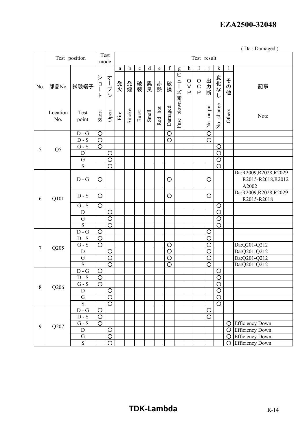( Da : Damaged )

|        |                 | Test position             |                    | Test<br>mode              |                       |             |              |         |             |                    |                |                                   |                                 | Test result               |                                      |                                                     |                                     |
|--------|-----------------|---------------------------|--------------------|---------------------------|-----------------------|-------------|--------------|---------|-------------|--------------------|----------------|-----------------------------------|---------------------------------|---------------------------|--------------------------------------|-----------------------------------------------------|-------------------------------------|
|        |                 |                           |                    |                           | $\mathbf{a}$          | $\mathbf b$ | $\mathbf c$  | $\rm d$ | $\mathbf e$ | $\mathbf f$        | g              | h                                 |                                 |                           | $\mathbf k$                          | $\mathbf{l}$                                        |                                     |
| No.    | 部品No.           | 試験端子                      | シ<br>目<br>$\vdash$ | 才<br>ープ<br>$\mathcal{L}$  | 発<br>火                | 発煙          | 破裂           | 異臭      | 赤熱          | 破損                 | Ł<br>ューズ断uwolq | $\circ$<br>$\vee$<br>$\mathsf{P}$ | $\mathsf O$<br>$\mathbf C$<br>P | 出力<br>断                   | 変化な.<br>し                            | そ<br>$\sigma$<br>他                                  | 記事                                  |
|        | Location<br>No. | Test<br>point             | Short              | Open                      | $\operatorname{Fire}$ | Smoke       | <b>Burst</b> | Smell   | Red hot     | Damaged            | Fuse           |                                   |                                 | output<br>$\frac{1}{2}$   | change<br>$\overline{a}$             | Others                                              | Note                                |
|        |                 | $\overline{D}$ - G        | $\circ$            |                           |                       |             |              |         |             | $\circ$            |                |                                   |                                 | $\circ$                   |                                      |                                                     |                                     |
|        |                 | $D-S$                     | $\overline{\circ}$ |                           |                       |             |              |         |             | $\overline{\circ}$ |                |                                   |                                 | $\overline{\rm O}$        |                                      |                                                     |                                     |
| 5      | Q <sub>5</sub>  | $G - S$                   | $\overline{O}$     |                           |                       |             |              |         |             |                    |                |                                   |                                 |                           | $\circ$                              |                                                     |                                     |
|        |                 | $\mathbf D$               |                    | $\circ$                   |                       |             |              |         |             |                    |                |                                   |                                 |                           | $\overline{O}$                       |                                                     |                                     |
|        |                 | G                         |                    | $\overline{O}$            |                       |             |              |         |             |                    |                |                                   |                                 |                           | $\circ$                              |                                                     |                                     |
|        |                 | $\overline{S}$            |                    | $\overline{\circ}$        |                       |             |              |         |             |                    |                |                                   |                                 |                           | $\overline{O}$                       |                                                     |                                     |
| 6      | $D - G$         | O                         |                    |                           |                       |             |              |         | O           |                    |                |                                   | O                               |                           |                                      | Da:R2009,R2028,R2029<br>R2015-R2018, R2012<br>A2002 |                                     |
|        | Q101            | $D-S$                     | O                  |                           |                       |             |              |         |             | O                  |                |                                   |                                 | $\circ$                   |                                      |                                                     | Da:R2009,R2028,R2029<br>R2015-R2018 |
|        |                 | $G - S$                   | $\circ$            |                           |                       |             |              |         |             |                    |                |                                   |                                 |                           | $\circ$                              |                                                     |                                     |
|        |                 | ${\bf D}$                 |                    | $\circ$                   |                       |             |              |         |             |                    |                |                                   |                                 |                           | $\circ$                              |                                                     |                                     |
|        |                 | G                         |                    | $\overline{\circ}$        |                       |             |              |         |             |                    |                |                                   |                                 |                           | $\overline{O}$                       |                                                     |                                     |
|        |                 | $\overline{S}$            |                    | $\overline{O}$            |                       |             |              |         |             |                    |                |                                   |                                 |                           | $\circ$                              |                                                     |                                     |
|        |                 | $\overline{D}$ - G        | $\circ$            |                           |                       |             |              |         |             |                    |                |                                   |                                 | $\circ$                   |                                      |                                                     |                                     |
|        |                 | $D-S$                     | $\circ$            |                           |                       |             |              |         |             |                    |                |                                   |                                 | $\circ$                   |                                      |                                                     |                                     |
| $\tau$ | Q205            | $G - S$                   | $\overline{\circ}$ |                           |                       |             |              |         |             | O                  |                |                                   |                                 | O                         |                                      |                                                     | Da:Q201-Q212                        |
|        |                 | $\mathbf D$               |                    | $\circ$                   |                       |             |              |         |             | $\circ$            |                |                                   |                                 | $\circ$                   |                                      |                                                     | Da:Q201-Q212                        |
|        |                 | $\overline{G}$            |                    | $\overline{\circ}$        |                       |             |              |         |             | $\overline{\circ}$ |                |                                   |                                 | $\overline{\circ}$        |                                      |                                                     | Da:Q201-Q212                        |
|        |                 | $\overline{S}$            |                    | $\overline{\circ}$        |                       |             |              |         |             | $\overline{\circ}$ |                |                                   |                                 | $\overline{\circ}$        |                                      |                                                     | Da:Q201-Q212                        |
|        |                 | $D - G$                   | $\circ$            |                           |                       |             |              |         |             |                    |                |                                   |                                 |                           | $\circ$                              |                                                     |                                     |
|        |                 | $D - S$                   | $\circ$            |                           |                       |             |              |         |             |                    |                |                                   |                                 |                           | $\circ$                              |                                                     |                                     |
| 8      | Q206            | $G - S$                   | $\circ$            |                           |                       |             |              |         |             |                    |                |                                   |                                 |                           | $\circ$                              |                                                     |                                     |
|        |                 | $\mathbf D$<br>${\bf G}$  |                    | $\circ$<br>$\overline{O}$ |                       |             |              |         |             |                    |                |                                   |                                 |                           | $\overline{O}$<br>$\overline{\circ}$ |                                                     |                                     |
|        |                 | $\overline{S}$            |                    | $\overline{\circ}$        |                       |             |              |         |             |                    |                |                                   |                                 |                           | $\overline{\circ}$                   |                                                     |                                     |
|        |                 | $\mathbf D$ - $\mathbf G$ | $\bigcirc$         |                           |                       |             |              |         |             |                    |                |                                   |                                 |                           |                                      |                                                     |                                     |
|        |                 | $D-S$                     | $\overline{O}$     |                           |                       |             |              |         |             |                    |                |                                   |                                 | $\circ$<br>$\overline{O}$ |                                      |                                                     |                                     |
|        |                 | ${\bf G}$ - ${\bf S}$     | $\overline{O}$     |                           |                       |             |              |         |             |                    |                |                                   |                                 |                           |                                      | O                                                   | <b>Efficiency Down</b>              |
| 9      | Q207            | $\mathbf D$               |                    | $\circ$                   |                       |             |              |         |             |                    |                |                                   |                                 |                           |                                      | $\circ$                                             | <b>Efficiency Down</b>              |
|        |                 | ${\bf G}$                 |                    | $\overline{O}$            |                       |             |              |         |             |                    |                |                                   |                                 |                           |                                      | $\circ$                                             | <b>Efficiency Down</b>              |
|        |                 | $\overline{S}$            |                    | $\overline{O}$            |                       |             |              |         |             |                    |                |                                   |                                 |                           |                                      | $\circ$                                             | <b>Efficiency Down</b>              |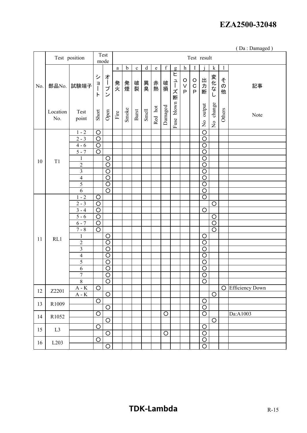|  |  | (Da: Damaged) |  |
|--|--|---------------|--|
|--|--|---------------|--|

|     |                 | Test position               |                                | Test<br>mode          |                       |             |             |         |           |             |               |                            | Test result                            |                                  |                                          |                |                        |
|-----|-----------------|-----------------------------|--------------------------------|-----------------------|-----------------------|-------------|-------------|---------|-----------|-------------|---------------|----------------------------|----------------------------------------|----------------------------------|------------------------------------------|----------------|------------------------|
|     |                 |                             |                                |                       | $\rm{a}$              | $\mathbf b$ | $\mathbf c$ | $\rm d$ | ${\bf e}$ | $\mathbf f$ | g             | $\boldsymbol{\mathrm{h}}$  | $\mathbf I$                            |                                  | $\bf k$                                  | $\mathbf{l}$   |                        |
| No. | 部品No.           | 試験端子                        | シ<br>$\frac{1}{2}$<br>$\vdash$ | オープ<br>$\mathcal{L}$  | 発火                    | 発煙          | 破裂          | 異臭      | 赤熱        | 破損          | Ł<br>ューズ断     | O<br>$\vee$<br>$\mathsf P$ | $\circ$<br>$\mathsf C$<br>$\mathsf{P}$ | 出力断                              | 変化な.<br>L                                | その<br>他        | 記事                     |
|     | Location<br>No. | Test<br>point               | Short                          | Open                  | $\operatorname{Fire}$ | Smoke       | Burst       | Smell   | Red hot   | Damaged     | blown<br>Fuse |                            |                                        | No output                        | change<br>$\mathop{\mathsf{S}}\nolimits$ | Others         | Note                   |
|     |                 | $1 - 2$                     | $\circ$                        |                       |                       |             |             |         |           |             |               |                            |                                        | $\circ$                          |                                          |                |                        |
|     |                 | $2 - 3$                     | $\overline{\circ}$             |                       |                       |             |             |         |           |             |               |                            |                                        | $\circ$                          |                                          |                |                        |
|     |                 | $4 - 6$                     | $\circ$                        |                       |                       |             |             |         |           |             |               |                            |                                        | $\circ$                          |                                          |                |                        |
|     |                 | $5 - 7$                     | $\circ$                        |                       |                       |             |             |         |           |             |               |                            |                                        | $\circ$                          |                                          |                |                        |
| 10  | T <sub>1</sub>  | $\mathbf{1}$                |                                | $\circ$               |                       |             |             |         |           |             |               |                            |                                        | $\overline{\rm O}$               |                                          |                |                        |
|     |                 | $\overline{2}$              |                                | $\overline{O}$        |                       |             |             |         |           |             |               |                            |                                        | $\circ$                          |                                          |                |                        |
|     |                 | $\overline{3}$              |                                | $\overline{\text{O}}$ |                       |             |             |         |           |             |               |                            |                                        | $\overline{O}$                   |                                          |                |                        |
|     |                 | $\overline{4}$              |                                | $\overline{O}$        |                       |             |             |         |           |             |               |                            |                                        | $\overline{O}$                   |                                          |                |                        |
|     |                 | $\overline{5}$              |                                | $\overline{\circ}$    |                       |             |             |         |           |             |               |                            |                                        | $\overline{O}$                   |                                          |                |                        |
|     |                 | $\overline{6}$              |                                | $\overline{\circ}$    |                       |             |             |         |           |             |               |                            |                                        | $\overline{\rm O}$               |                                          |                |                        |
|     |                 | $1 - 2$                     | $\circ$                        |                       |                       |             |             |         |           |             |               |                            |                                        | $\circ$                          |                                          |                |                        |
|     |                 | $2 - 3$<br>$\frac{1}{3-4}$  | $\circ$<br>$\circ$             |                       |                       |             |             |         |           |             |               |                            |                                        |                                  | $\circ$                                  |                |                        |
|     |                 | $5 - 6$                     | $\circ$                        |                       |                       |             |             |         |           |             |               |                            |                                        | $\circ$                          | $\circ$                                  |                |                        |
|     |                 | $6 - 7$                     | $\overline{\circ}$             |                       |                       |             |             |         |           |             |               |                            |                                        |                                  | $\circ$                                  |                |                        |
|     |                 | $7 - 8$                     | $\overline{O}$                 |                       |                       |             |             |         |           |             |               |                            |                                        |                                  | $\circ$                                  |                |                        |
|     |                 | $\mathbf{1}$                |                                | $\circ$               |                       |             |             |         |           |             |               |                            |                                        | $\circ$                          |                                          |                |                        |
| 11  | RL1             | $\overline{c}$              |                                | $\overline{O}$        |                       |             |             |         |           |             |               |                            |                                        | $\circ$                          |                                          |                |                        |
|     |                 | $\overline{\mathbf{3}}$     |                                | $\overline{\text{O}}$ |                       |             |             |         |           |             |               |                            |                                        | $\circ$                          |                                          |                |                        |
|     |                 | $\overline{4}$              |                                | $\overline{\circ}$    |                       |             |             |         |           |             |               |                            |                                        | O                                |                                          |                |                        |
|     |                 | 5                           |                                | $\circ$               |                       |             |             |         |           |             |               |                            |                                        | $\circ$                          |                                          |                |                        |
|     |                 | 6                           |                                | $\overline{O}$        |                       |             |             |         |           |             |               |                            |                                        | $\circ$                          |                                          |                |                        |
|     |                 | $\overline{7}$              |                                | $\overline{O}$        |                       |             |             |         |           |             |               |                            |                                        | $\circ$                          |                                          |                |                        |
|     |                 | $8\,$                       |                                | $\overline{O}$        |                       |             |             |         |           |             |               |                            |                                        | $\circ$                          |                                          |                |                        |
| 12  | Z2201           | $\mathbf{A}$ - $\mathbf{K}$ | $\overline{\circ}$             |                       |                       |             |             |         |           |             |               |                            |                                        |                                  |                                          | $\overline{O}$ | <b>Efficiency Down</b> |
|     |                 | $A - K$                     |                                | $\overline{O}$        |                       |             |             |         |           |             |               |                            |                                        |                                  | $\circ$                                  |                |                        |
| 13  | R1009           |                             | $\overline{O}$                 |                       |                       |             |             |         |           |             |               |                            |                                        | $\overline{O}$                   |                                          |                |                        |
|     |                 |                             |                                | $\overline{O}$        |                       |             |             |         |           |             |               |                            |                                        | $\overline{O}$                   |                                          |                |                        |
| 14  | R1052           |                             | $\overline{O}$                 |                       |                       |             |             |         |           | $\bigcirc$  |               |                            |                                        | $\overline{O}$                   |                                          |                | Da:A1003               |
|     |                 |                             |                                | $\overline{O}$        |                       |             |             |         |           |             |               |                            |                                        |                                  | $\circ$                                  |                |                        |
| 15  | L <sub>3</sub>  |                             | $\overline{O}$                 | $\overline{O}$        |                       |             |             |         |           | $\circ$     |               |                            |                                        | $\overline{O}$<br>$\overline{O}$ |                                          |                |                        |
|     |                 |                             | $\overline{O}$                 |                       |                       |             |             |         |           |             |               |                            |                                        | $\bigcirc$                       |                                          |                |                        |
| 16  | L203            |                             |                                | $\overline{\circ}$    |                       |             |             |         |           |             |               |                            |                                        | $\overline{O}$                   |                                          |                |                        |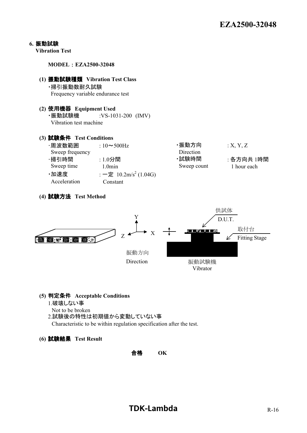#### **6.** 振動試験

**Vibration Test**

**MODEL** : **EZA2500-32048**

#### **(1)** 振動試験種類 **Vibration Test Class** ・掃引振動数耐久試験 Frequency variable endurance test

**(2)** 使用機器 **Equipment Used** ・振動試験機 :VS-1031-200 (IMV) Vibration test machine

#### **(3)** 試験条件 **Test Conditions**

| ·周波数範囲          | : $10 \sim 500$ Hz                | ·振動方向       | X, Y, Z     |
|-----------------|-----------------------------------|-------------|-------------|
| Sweep frequency |                                   | Direction   |             |
| ·掃引時間           | $:1.0$ 分間                         | ・試験時間       | : 各方向共 1時間  |
| Sweep time      | $1.0$ min                         | Sweep count | 1 hour each |
| ·加速度            | : 一定 10.2m/s <sup>2</sup> (1.04G) |             |             |
| Acceleration    | Constant                          |             |             |
|                 |                                   |             |             |





#### **(5)** 判定条件 **Acceptable Conditions**

- 1.破壊しない事
- Not to be broken
- 2.試験後の特性は初期値から変動していない事

Characteristic to be within regulation specification after the test.

#### **(6)** 試験結果 **Test Result**

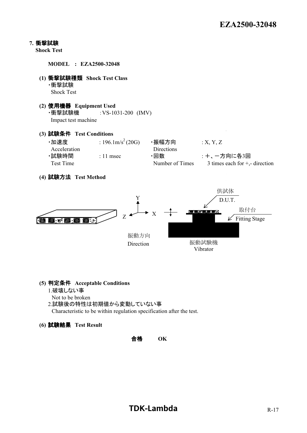#### **7.** 衝撃試験

**Shock Test**

**MODEL : EZA2500-32048**

- **(1)** 衝撃試験種類 **Shock Test Class** ・衝撃試験 Shock Test
- **(2)** 使用機器 **Equipment Used** ・衝撃試験機 :VS-1031-200 (IMV) Impact test machine
- **(3)** 試験条件 **Test Conditions**

| ·加速度         | : 196.1m/s <sup>2</sup> (20G) | ・振幅方向           | X, Y, Z                           |
|--------------|-------------------------------|-----------------|-----------------------------------|
| Acceleration |                               | Directions      |                                   |
| ·試験時間        | $: 11$ msec                   | ・回数             | :+、一方向に各3回                        |
| Test Time    |                               | Number of Times | 3 times each for $+$ ,- direction |

**(4)** 試験方法 **Test Method**



#### **(5)** 判定条件 **Acceptable Conditions**

- 1.破壊しない事
- Not to be broken
- 2.試験後の特性は初期値から変動していない事

Characteristic to be within regulation specification after the test.

**(6)** 試験結果 **Test Result**

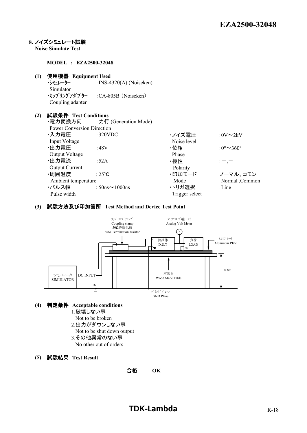#### **8.** ノイズシミュレート試験

**Noise Simulate Test**

**MODEL : EZA2500-32048**

## **(1)** 使用機器 **Equipment Used**

 $:$  INS-4320(A) (Noiseken) Simulator ・カップリングアダプター :CA-805B (Noiseken) Coupling adapter

#### **(2)** 試験条件 **Test Conditions**

|                                   | ・電力変換方向 : 力行 (Generation Mode) |                |                                   |
|-----------------------------------|--------------------------------|----------------|-----------------------------------|
| <b>Power Conversion Direction</b> |                                |                |                                   |
| ・入力電圧                             | :320VDC                        | ・ノイズ電圧         | : $0V \sim 2kV$                   |
| <b>Input Voltage</b>              |                                | Noise level    |                                   |
| ・出力電圧                             | :48V                           | ・位相            | $0^{\circ}$ $\sim$ 360 $^{\circ}$ |
| Output Voltage                    |                                | Phase          |                                   |
| ・出力電流                             | :52A                           | ・極性            | $: +, -$                          |
| <b>Output Current</b>             |                                | Polarity       |                                   |
| ・周囲温度                             | : $25^{\circ}$ C               | ・印加モード         | :ノーマル、コモン                         |
| Ambient temperature               |                                | Mode           | Normal ,Common                    |
| ・パルス幅                             | : $50$ ns $\sim$ 1000ns        | ・トリガ選択         | $:$ Line                          |
| Pulse width                       |                                | Trigger select |                                   |
|                                   |                                |                |                                   |

#### **(3)** 試験方法及び印加箇所 **Test Method and Device Test Point**





- 1.破壊しない事
- Not to be broken
- 2.出力がダウンしない事
- Not to be shut down output
- 3.その他異常のない事
- No other out of orders
- **(5)** 試験結果 **Test Result**

合格 **OK**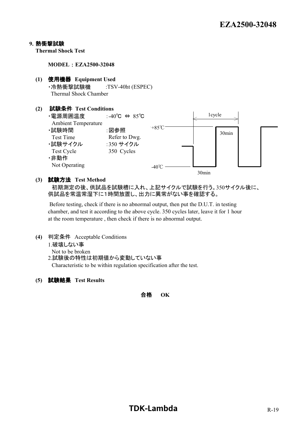#### **9.** 熱衝撃試験

**Thermal Shock Test**

**MODEL** : **EZA2500-32048**

- **(1)** 使用機器 **Equipment Used** ・冷熱衝撃試験機 :TSV-40ht (ESPEC) Thermal Shock Chamber
- **(2)** 試験条件 **Test Conditions** ・電源周囲温度 :-40℃ ⇔ 85℃ Ambient Temperature ・試験時間 :図参照 Test Time Refer to Dwg. ・試験サイクル :350 サイクル Test Cycle 350 Cycles ・非動作 Not Operating 1cycle +85℃  $-40^{\circ}$ C = 30min 30min

#### **(3)** 試験方法 **Test Method**

 初期測定の後、供試品を試験槽に入れ、上記サイクルで試験を行う。350サイクル後に、 供試品を常温常湿下に1時間放置し、出力に異常がない事を確認する。

 Before testing, check if there is no abnormal output, then put the D.U.T. in testing chamber, and test it according to the above cycle. 350 cycles later, leave it for 1 hour at the room temperature , then check if there is no abnormal output.

- **(4)** 判定条件 Acceptable Conditions
	- 1.破壊しない事
	- Not to be broken

2.試験後の特性は初期値から変動していない事

Characteristic to be within regulation specification after the test.

**(5)** 試験結果 **Test Results**

合格 **OK**